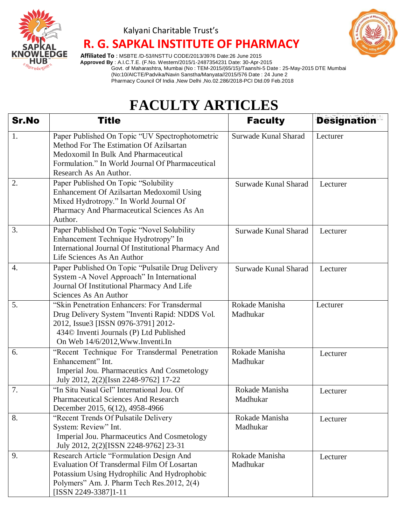

### Kalyani Charitable Trust's  **R. G. SAPKAL INSTITUTE OF PHARMACY**



 **Affiliated To** : MSBTE /D-53/INSTTU CODE/2013/3976 Date:26 June 2015  **Approved By** : A.I.C.T.E. (F.No. Western/2015/1-2487354231 Date: 30-Apr-2015 Govt. of Maharashtra, Mumbai (No : TEM-2015/(65/15)/Taanshi-5 Date : 25-May-2015 DTE Mumbai (No:10/AICTE/Padvika/Navin Sanstha/Manyata//2015/576 Date : 24 June 2 Pharmacy Council Of India ,New Delhi ,No.02.286/2018-PCI Dtd.09 Feb.2018

## **FACULTY ARTICLES**

| <b>Sr.No</b> | <b>Title</b>                                                                                                                                                                                                         | <b>Faculty</b>             | <b>Designation</b> |
|--------------|----------------------------------------------------------------------------------------------------------------------------------------------------------------------------------------------------------------------|----------------------------|--------------------|
| 1.           | Paper Published On Topic "UV Spectrophotometric<br>Method For The Estimation Of Azilsartan<br>Medoxomil In Bulk And Pharmaceutical<br>Formulation." In World Journal Of Pharmaceutical<br>Research As An Author.     | Surwade Kunal Sharad       | Lecturer           |
| 2.           | Paper Published On Topic "Solubility<br>Enhancement Of Azilsartan Medoxomil Using<br>Mixed Hydrotropy." In World Journal Of<br>Pharmacy And Pharmaceutical Sciences As An<br>Author.                                 | Surwade Kunal Sharad       | Lecturer           |
| 3.           | Paper Published On Topic "Novel Solubility<br>Enhancement Technique Hydrotropy" In<br>International Journal Of Institutional Pharmacy And<br>Life Sciences As An Author                                              | Surwade Kunal Sharad       | Lecturer           |
| 4.           | Paper Published On Topic "Pulsatile Drug Delivery<br>System - A Novel Approach" In International<br>Journal Of Institutional Pharmacy And Life<br>Sciences As An Author                                              | Surwade Kunal Sharad       | Lecturer           |
| 5.           | "Skin Penetration Enhancers: For Transdermal<br>Drug Delivery System "Inventi Rapid: NDDS Vol.<br>2012, Issue3 [ISSN 0976-3791] 2012-<br>434© Inventi Journals (P) Ltd Published<br>On Web 14/6/2012, Www.Inventi.In | Rokade Manisha<br>Madhukar | Lecturer           |
| 6.           | "Recent Technique For Transdermal Penetration<br>Enhancement" Int.<br>Imperial Jou. Pharmaceutics And Cosmetology<br>July 2012, 2(2)[Issn 2248-9762] 17-22                                                           | Rokade Manisha<br>Madhukar | Lecturer           |
| 7.           | "In Situ Nasal Gel" International Jou. Of<br><b>Pharmaceutical Sciences And Research</b><br>December 2015, 6(12), 4958-4966                                                                                          | Rokade Manisha<br>Madhukar | Lecturer           |
| 8.           | "Recent Trends Of Pulsatile Delivery<br>System: Review" Int.<br>Imperial Jou. Pharmaceutics And Cosmetology<br>July 2012, 2(2)[ISSN 2248-9762] 23-31                                                                 | Rokade Manisha<br>Madhukar | Lecturer           |
| 9.           | Research Article "Formulation Design And<br><b>Evaluation Of Transdermal Film Of Losartan</b><br>Potassium Using Hydrophilic And Hydrophobic<br>Polymers" Am. J. Pharm Tech Res. 2012, 2(4)<br>[ISSN 2249-3387]1-11  | Rokade Manisha<br>Madhukar | Lecturer           |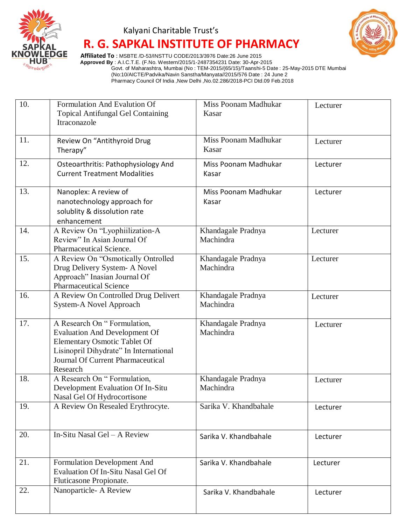

### Kalyani Charitable Trust's

# **R. G. SAPKAL INSTITUTE OF PHARMACY**



 **Affiliated To** : MSBTE /D-53/INSTTU CODE/2013/3976 Date:26 June 2015  **Approved By** : A.I.C.T.E. (F.No. Western/2015/1-2487354231 Date: 30-Apr-2015 Govt. of Maharashtra, Mumbai (No : TEM-2015/(65/15)/Taanshi-5 Date : 25-May-2015 DTE Mumbai (No:10/AICTE/Padvika/Navin Sanstha/Manyata//2015/576 Date : 24 June 2 Pharmacy Council Of India ,New Delhi ,No.02.286/2018-PCI Dtd.09 Feb.2018

| 10. | Formulation And Evalution Of<br><b>Topical Antifungal Gel Containing</b><br>Itraconazole                                                                                                       | <b>Miss Poonam Madhukar</b><br>Kasar | Lecturer |
|-----|------------------------------------------------------------------------------------------------------------------------------------------------------------------------------------------------|--------------------------------------|----------|
| 11. | Review On "Antithyroid Drug<br>Therapy"                                                                                                                                                        | Miss Poonam Madhukar<br>Kasar        | Lecturer |
| 12. | Osteoarthritis: Pathophysiology And<br><b>Current Treatment Modalities</b>                                                                                                                     | Miss Poonam Madhukar<br>Kasar        | Lecturer |
| 13. | Nanoplex: A review of<br>nanotechnology approach for<br>solublity & dissolution rate<br>enhancement                                                                                            | Miss Poonam Madhukar<br>Kasar        | Lecturer |
| 14. | A Review On "Lyophiilization-A<br>Review" In Asian Journal Of<br>Pharmaceutical Science.                                                                                                       | Khandagale Pradnya<br>Machindra      | Lecturer |
| 15. | A Review On "Osmotically Ontrolled<br>Drug Delivery System- A Novel<br>Approach" Inasian Journal Of<br><b>Pharmaceutical Science</b>                                                           | Khandagale Pradnya<br>Machindra      | Lecturer |
| 16. | A Review On Controlled Drug Delivert<br>System-A Novel Approach                                                                                                                                | Khandagale Pradnya<br>Machindra      | Lecturer |
| 17. | A Research On "Formulation,<br><b>Evaluation And Development Of</b><br>Elementary Osmotic Tablet Of<br>Lisinopril Dihydrate" In International<br>Journal Of Current Pharmaceutical<br>Research | Khandagale Pradnya<br>Machindra      | Lecturer |
| 18. | A Research On "Formulation,<br>Development Evaluation Of In-Situ<br>Nasal Gel Of Hydrocortisone                                                                                                | Khandagale Pradnya<br>Machindra      | Lecturer |
| 19. | A Review On Resealed Erythrocyte.                                                                                                                                                              | Sarika V. Khandbahale                | Lecturer |
| 20. | In-Situ Nasal Gel - A Review                                                                                                                                                                   | Sarika V. Khandbahale                | Lecturer |
| 21. | Formulation Development And<br>Evaluation Of In-Situ Nasal Gel Of<br>Fluticasone Propionate.                                                                                                   | Sarika V. Khandbahale                | Lecturer |
| 22. | Nanoparticle-A Review                                                                                                                                                                          | Sarika V. Khandbahale                | Lecturer |